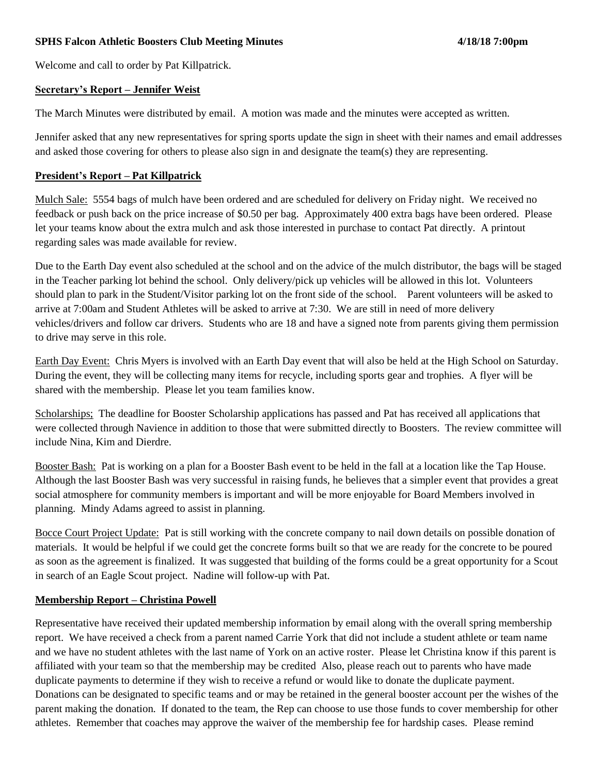## **SPHS Falcon Athletic Boosters Club Meeting Minutes 4/18/18 7:00pm**

Welcome and call to order by Pat Killpatrick.

### **Secretary's Report – Jennifer Weist**

The March Minutes were distributed by email. A motion was made and the minutes were accepted as written.

Jennifer asked that any new representatives for spring sports update the sign in sheet with their names and email addresses and asked those covering for others to please also sign in and designate the team(s) they are representing.

### **President's Report – Pat Killpatrick**

Mulch Sale: 5554 bags of mulch have been ordered and are scheduled for delivery on Friday night. We received no feedback or push back on the price increase of \$0.50 per bag. Approximately 400 extra bags have been ordered. Please let your teams know about the extra mulch and ask those interested in purchase to contact Pat directly. A printout regarding sales was made available for review.

Due to the Earth Day event also scheduled at the school and on the advice of the mulch distributor, the bags will be staged in the Teacher parking lot behind the school. Only delivery/pick up vehicles will be allowed in this lot. Volunteers should plan to park in the Student/Visitor parking lot on the front side of the school. Parent volunteers will be asked to arrive at 7:00am and Student Athletes will be asked to arrive at 7:30. We are still in need of more delivery vehicles/drivers and follow car drivers. Students who are 18 and have a signed note from parents giving them permission to drive may serve in this role.

Earth Day Event: Chris Myers is involved with an Earth Day event that will also be held at the High School on Saturday. During the event, they will be collecting many items for recycle, including sports gear and trophies. A flyer will be shared with the membership. Please let you team families know.

Scholarships; The deadline for Booster Scholarship applications has passed and Pat has received all applications that were collected through Navience in addition to those that were submitted directly to Boosters. The review committee will include Nina, Kim and Dierdre.

Booster Bash: Pat is working on a plan for a Booster Bash event to be held in the fall at a location like the Tap House. Although the last Booster Bash was very successful in raising funds, he believes that a simpler event that provides a great social atmosphere for community members is important and will be more enjoyable for Board Members involved in planning. Mindy Adams agreed to assist in planning.

Bocce Court Project Update: Pat is still working with the concrete company to nail down details on possible donation of materials. It would be helpful if we could get the concrete forms built so that we are ready for the concrete to be poured as soon as the agreement is finalized. It was suggested that building of the forms could be a great opportunity for a Scout in search of an Eagle Scout project. Nadine will follow-up with Pat.

### **Membership Report – Christina Powell**

Representative have received their updated membership information by email along with the overall spring membership report. We have received a check from a parent named Carrie York that did not include a student athlete or team name and we have no student athletes with the last name of York on an active roster. Please let Christina know if this parent is affiliated with your team so that the membership may be credited Also, please reach out to parents who have made duplicate payments to determine if they wish to receive a refund or would like to donate the duplicate payment. Donations can be designated to specific teams and or may be retained in the general booster account per the wishes of the parent making the donation. If donated to the team, the Rep can choose to use those funds to cover membership for other athletes. Remember that coaches may approve the waiver of the membership fee for hardship cases. Please remind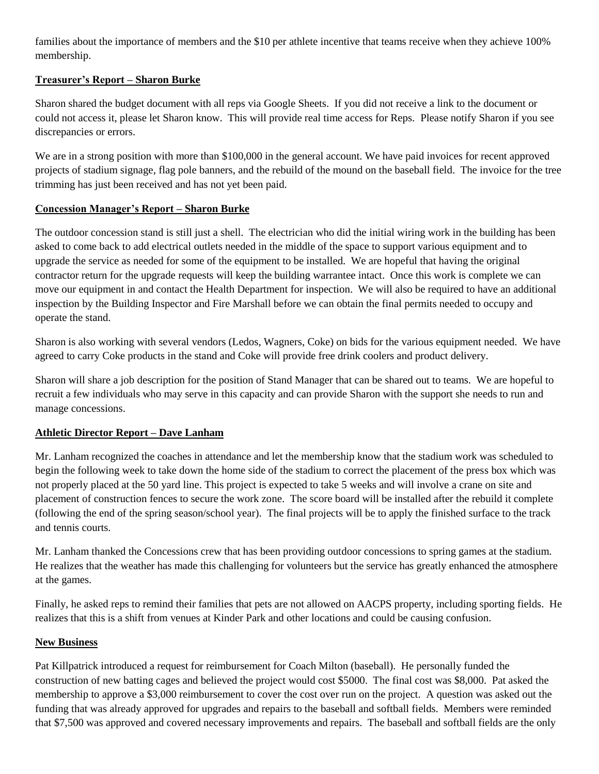families about the importance of members and the \$10 per athlete incentive that teams receive when they achieve 100% membership.

# **Treasurer's Report – Sharon Burke**

Sharon shared the budget document with all reps via Google Sheets. If you did not receive a link to the document or could not access it, please let Sharon know. This will provide real time access for Reps. Please notify Sharon if you see discrepancies or errors.

We are in a strong position with more than \$100,000 in the general account. We have paid invoices for recent approved projects of stadium signage, flag pole banners, and the rebuild of the mound on the baseball field. The invoice for the tree trimming has just been received and has not yet been paid.

# **Concession Manager's Report – Sharon Burke**

The outdoor concession stand is still just a shell. The electrician who did the initial wiring work in the building has been asked to come back to add electrical outlets needed in the middle of the space to support various equipment and to upgrade the service as needed for some of the equipment to be installed. We are hopeful that having the original contractor return for the upgrade requests will keep the building warrantee intact. Once this work is complete we can move our equipment in and contact the Health Department for inspection. We will also be required to have an additional inspection by the Building Inspector and Fire Marshall before we can obtain the final permits needed to occupy and operate the stand.

Sharon is also working with several vendors (Ledos, Wagners, Coke) on bids for the various equipment needed. We have agreed to carry Coke products in the stand and Coke will provide free drink coolers and product delivery.

Sharon will share a job description for the position of Stand Manager that can be shared out to teams. We are hopeful to recruit a few individuals who may serve in this capacity and can provide Sharon with the support she needs to run and manage concessions.

# **Athletic Director Report – Dave Lanham**

Mr. Lanham recognized the coaches in attendance and let the membership know that the stadium work was scheduled to begin the following week to take down the home side of the stadium to correct the placement of the press box which was not properly placed at the 50 yard line. This project is expected to take 5 weeks and will involve a crane on site and placement of construction fences to secure the work zone. The score board will be installed after the rebuild it complete (following the end of the spring season/school year). The final projects will be to apply the finished surface to the track and tennis courts.

Mr. Lanham thanked the Concessions crew that has been providing outdoor concessions to spring games at the stadium. He realizes that the weather has made this challenging for volunteers but the service has greatly enhanced the atmosphere at the games.

Finally, he asked reps to remind their families that pets are not allowed on AACPS property, including sporting fields. He realizes that this is a shift from venues at Kinder Park and other locations and could be causing confusion.

# **New Business**

Pat Killpatrick introduced a request for reimbursement for Coach Milton (baseball). He personally funded the construction of new batting cages and believed the project would cost \$5000. The final cost was \$8,000. Pat asked the membership to approve a \$3,000 reimbursement to cover the cost over run on the project. A question was asked out the funding that was already approved for upgrades and repairs to the baseball and softball fields. Members were reminded that \$7,500 was approved and covered necessary improvements and repairs. The baseball and softball fields are the only